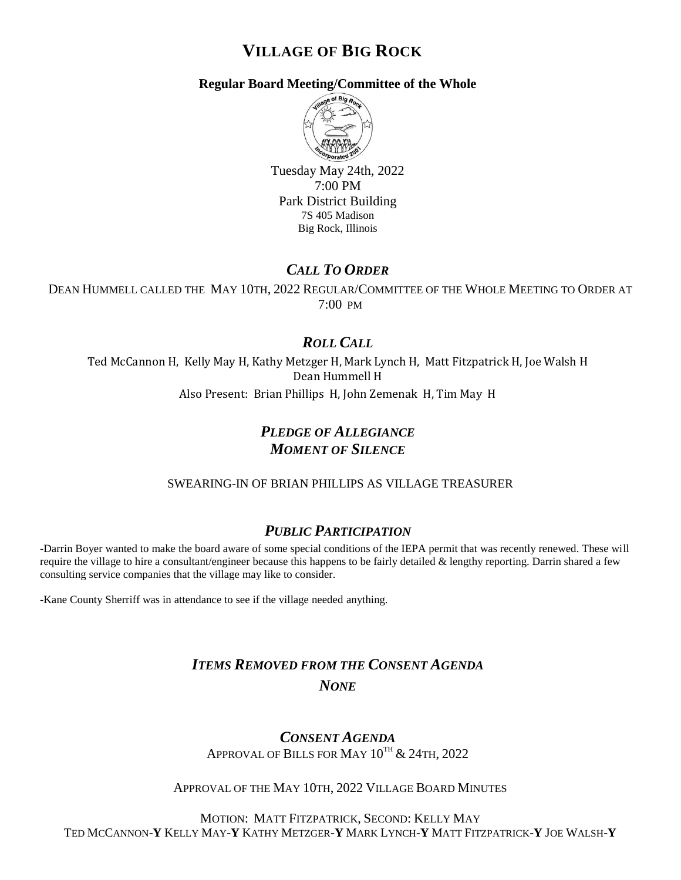# **VILLAGE OF BIG ROCK**

### **Regular Board Meeting/Committee of the Whole**



Tuesday May 24th, 2022 7:00 PM Park District Building 7S 405 Madison Big Rock, Illinois

# *CALL TO ORDER*

DEAN HUMMELL CALLED THE MAY 10TH, 2022 REGULAR/COMMITTEE OF THE WHOLE MEETING TO ORDER AT 7:00 PM

# *ROLL CALL*

Ted McCannon H, Kelly May H, Kathy Metzger H, Mark Lynch H, Matt Fitzpatrick H, Joe Walsh H Dean Hummell H Also Present: Brian Phillips H, John Zemenak H, Tim May H

# *PLEDGE OF ALLEGIANCE MOMENT OF SILENCE*

### SWEARING-IN OF BRIAN PHILLIPS AS VILLAGE TREASURER

## *PUBLIC PARTICIPATION*

-Darrin Boyer wanted to make the board aware of some special conditions of the IEPA permit that was recently renewed. These will require the village to hire a consultant/engineer because this happens to be fairly detailed  $\&$  lengthy reporting. Darrin shared a few consulting service companies that the village may like to consider.

-Kane County Sherriff was in attendance to see if the village needed anything.

# *ITEMS REMOVED FROM THE CONSENT AGENDA NONE*

*CONSENT AGENDA* APPROVAL OF BILLS FOR MAY  $10^{TH}$  & 24TH, 2022

### APPROVAL OF THE MAY 10TH, 2022 VILLAGE BOARD MINUTES

MOTION: MATT FITZPATRICK, SECOND: KELLY MAY TED MCCANNON-**Y** KELLY MAY-**Y** KATHY METZGER-**Y** MARK LYNCH-**Y** MATT FITZPATRICK-**Y** JOE WALSH-**Y**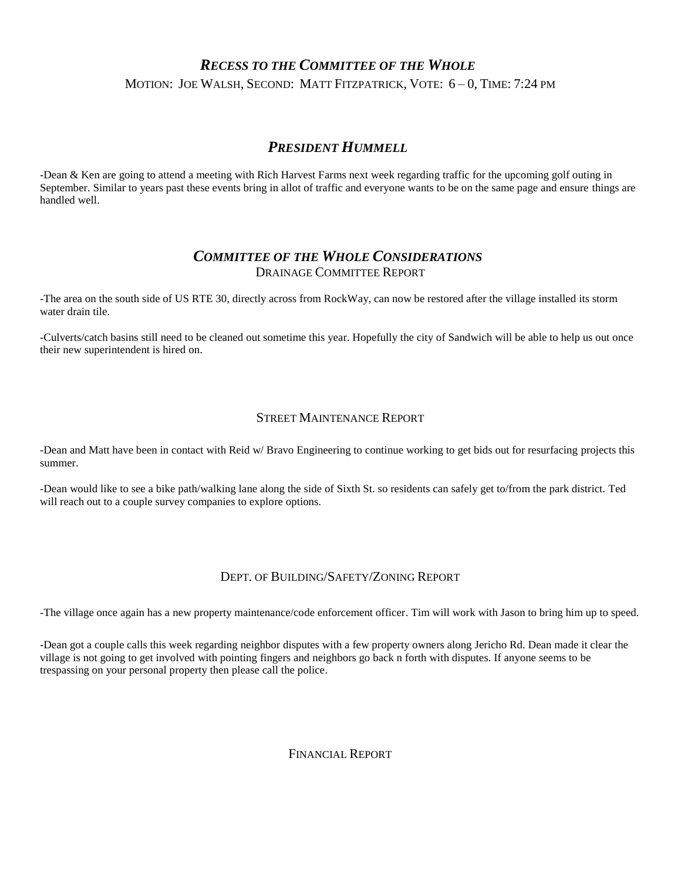# *RECESS TO THE COMMITTEE OF THE WHOLE* MOTION: JOE WALSH, SECOND: MATT FITZPATRICK, VOTE: 6 – 0, TIME: 7:24 PM

## *PRESIDENT HUMMELL*

-Dean & Ken are going to attend a meeting with Rich Harvest Farms next week regarding traffic for the upcoming golf outing in September. Similar to years past these events bring in allot of traffic and everyone wants to be on the same page and ensure things are handled well.

### *COMMITTEE OF THE WHOLE CONSIDERATIONS* DRAINAGE COMMITTEE REPORT

-The area on the south side of US RTE 30, directly across from RockWay, can now be restored after the village installed its storm water drain tile.

-Culverts/catch basins still need to be cleaned out sometime this year. Hopefully the city of Sandwich will be able to help us out once their new superintendent is hired on.

#### STREET MAINTENANCE REPORT

-Dean and Matt have been in contact with Reid w/ Bravo Engineering to continue working to get bids out for resurfacing projects this summer.

-Dean would like to see a bike path/walking lane along the side of Sixth St. so residents can safely get to/from the park district. Ted will reach out to a couple survey companies to explore options.

### DEPT. OF BUILDING/SAFETY/ZONING REPORT

-The village once again has a new property maintenance/code enforcement officer. Tim will work with Jason to bring him up to speed.

-Dean got a couple calls this week regarding neighbor disputes with a few property owners along Jericho Rd. Dean made it clear the village is not going to get involved with pointing fingers and neighbors go back n forth with disputes. If anyone seems to be trespassing on your personal property then please call the police.

### FINANCIAL REPORT